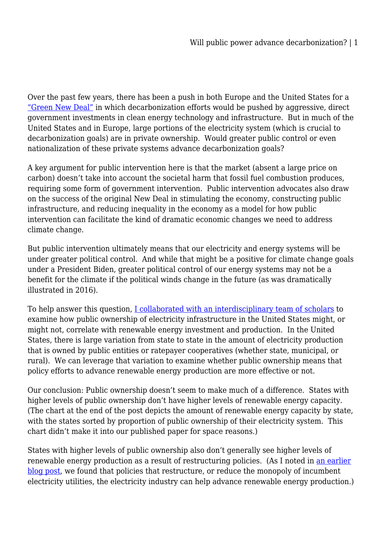Over the past few years, there has been a push in both Europe and the United States for a ["Green New Deal"](https://www.vox.com/energy-and-environment/2019/2/7/18211709/green-new-deal-resolution-alexandria-ocasio-cortez-markey) in which decarbonization efforts would be pushed by aggressive, direct government investments in clean energy technology and infrastructure. But in much of the United States and in Europe, large portions of the electricity system (which is crucial to decarbonization goals) are in private ownership. Would greater public control or even nationalization of these private systems advance decarbonization goals?

A key argument for public intervention here is that the market (absent a large price on carbon) doesn't take into account the societal harm that fossil fuel combustion produces, requiring some form of government intervention. Public intervention advocates also draw on the success of the original New Deal in stimulating the economy, constructing public infrastructure, and reducing inequality in the economy as a model for how public intervention can facilitate the kind of dramatic economic changes we need to address climate change.

But public intervention ultimately means that our electricity and energy systems will be under greater political control. And while that might be a positive for climate change goals under a President Biden, greater political control of our energy systems may not be a benefit for the climate if the political winds change in the future (as was dramatically illustrated in 2016).

To help answer this question, [I collaborated with an interdisciplinary team of scholars](https://www.eba-net.org/assets/1/6/6_-_%5bHe___Biber___Aki___Haksinger___Phillips%5d_%5b125-165%5d.pdf) to examine how public ownership of electricity infrastructure in the United States might, or might not, correlate with renewable energy investment and production. In the United States, there is large variation from state to state in the amount of electricity production that is owned by public entities or ratepayer cooperatives (whether state, municipal, or rural). We can leverage that variation to examine whether public ownership means that policy efforts to advance renewable energy production are more effective or not.

Our conclusion: Public ownership doesn't seem to make much of a difference. States with higher levels of public ownership don't have higher levels of renewable energy capacity. (The chart at the end of the post depicts the amount of renewable energy capacity by state, with the states sorted by proportion of public ownership of their electricity system. This chart didn't make it into our published paper for space reasons.)

States with higher levels of public ownership also don't generally see higher levels of renewable energy production as a result of restructuring policies. (As I noted in [an earlier](https://legal-planet.org/2022/06/06/advancing-renewables-through-electricity-restructuring/) [blog post](https://legal-planet.org/2022/06/06/advancing-renewables-through-electricity-restructuring/), we found that policies that restructure, or reduce the monopoly of incumbent electricity utilities, the electricity industry can help advance renewable energy production.)